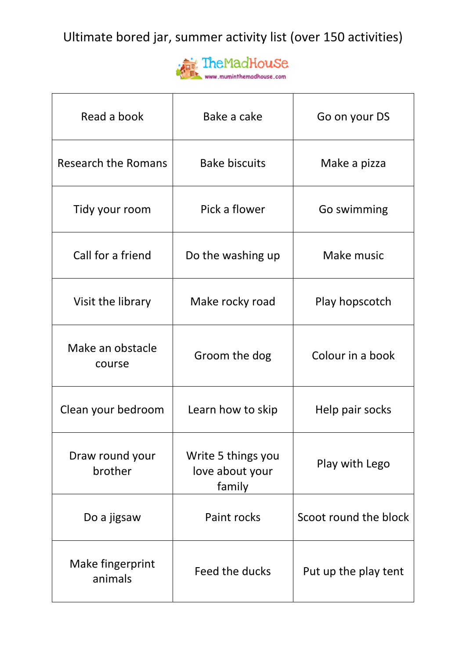Ultimate bored jar, summer activity list (over 150 activities)



| Read a book                 | Bake a cake                                     | Go on your DS         |
|-----------------------------|-------------------------------------------------|-----------------------|
| Research the Romans         | <b>Bake biscuits</b>                            | Make a pizza          |
| Tidy your room              | Pick a flower                                   | Go swimming           |
| Call for a friend           | Do the washing up                               | Make music            |
| Visit the library           | Make rocky road                                 | Play hopscotch        |
| Make an obstacle<br>course  | Groom the dog                                   | Colour in a book      |
| Clean your bedroom          | Learn how to skip                               | Help pair socks       |
| Draw round your<br>brother  | Write 5 things you<br>love about your<br>family | Play with Lego        |
| Do a jigsaw                 | Paint rocks                                     | Scoot round the block |
| Make fingerprint<br>animals | Feed the ducks                                  | Put up the play tent  |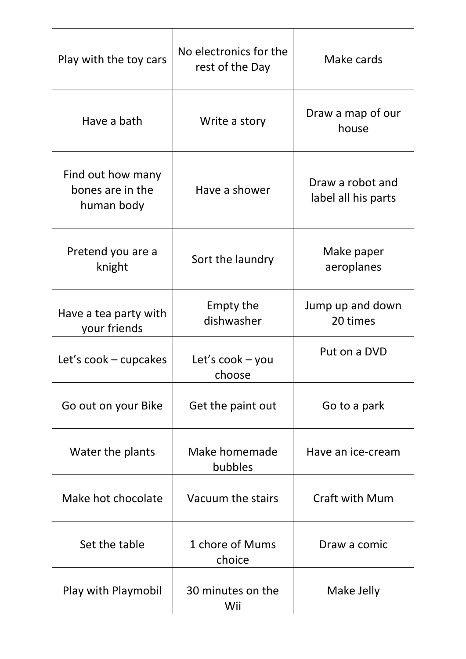| Play with the toy cars                              | No electronics for the<br>rest of the Day    | Make cards                              |
|-----------------------------------------------------|----------------------------------------------|-----------------------------------------|
| Have a bath                                         | Write a story                                | Draw a map of our<br>house              |
| Find out how many<br>bones are in the<br>human body | Have a shower                                | Draw a robot and<br>label all his parts |
| Pretend you are a<br>knight                         | Sort the laundry                             | Make paper<br>aeroplanes                |
| Have a tea party with<br>your friends               | Empty the<br>dishwasher                      | Jump up and down<br>20 times            |
| Let's $\text{cock}$ – cupcakes                      | Let's $\mathsf{cook}-\mathsf{you}$<br>choose | Put on a DVD                            |
| Go out on your Bike                                 | Get the paint out                            | Go to a park                            |
| Water the plants                                    | Make homemade<br>bubbles                     | Have an ice-cream                       |
| Make hot chocolate                                  | Vacuum the stairs                            | <b>Craft with Mum</b>                   |
| Set the table                                       | 1 chore of Mums<br>choice                    | Draw a comic                            |
| Play with Playmobil                                 | 30 minutes on the<br>Wii                     | Make Jelly                              |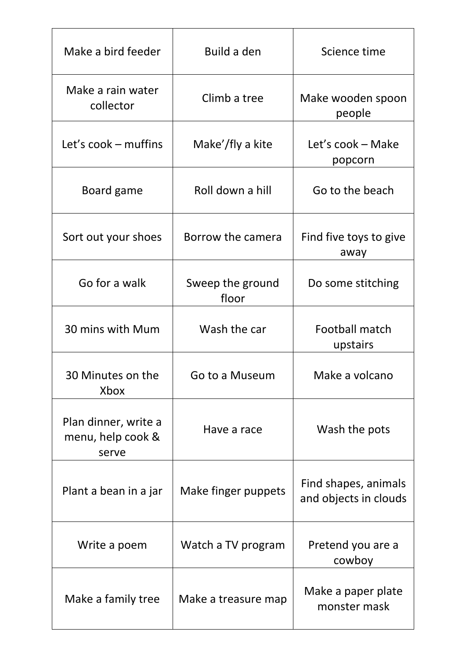| Make a bird feeder                                 | Build a den               | Science time                                  |
|----------------------------------------------------|---------------------------|-----------------------------------------------|
| Make a rain water<br>collector                     | Climb a tree              | Make wooden spoon<br>people                   |
| Let's cook – muffins                               | Make'/fly a kite          | Let's cook – Make<br>popcorn                  |
| Board game                                         | Roll down a hill          | Go to the beach                               |
| Sort out your shoes                                | Borrow the camera         | Find five toys to give<br>away                |
| Go for a walk                                      | Sweep the ground<br>floor | Do some stitching                             |
| 30 mins with Mum                                   | Wash the car              | Football match<br>upstairs                    |
| 30 Minutes on the<br>Xbox                          | Go to a Museum            | Make a volcano                                |
| Plan dinner, write a<br>menu, help cook &<br>serve | Have a race               | Wash the pots                                 |
| Plant a bean in a jar                              | Make finger puppets       | Find shapes, animals<br>and objects in clouds |
| Write a poem                                       | Watch a TV program        | Pretend you are a<br>cowboy                   |
| Make a family tree                                 | Make a treasure map       | Make a paper plate<br>monster mask            |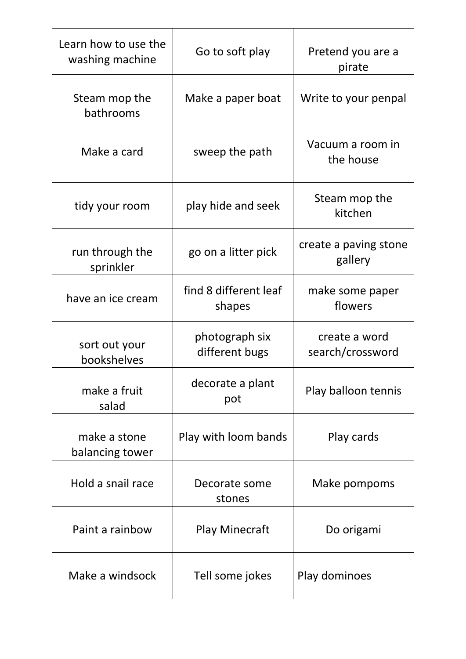| Learn how to use the<br>washing machine | Go to soft play                  | Pretend you are a<br>pirate       |
|-----------------------------------------|----------------------------------|-----------------------------------|
| Steam mop the<br>bathrooms              | Make a paper boat                | Write to your penpal              |
| Make a card                             | sweep the path                   | Vacuum a room in<br>the house     |
| tidy your room                          | play hide and seek               | Steam mop the<br>kitchen          |
| run through the<br>sprinkler            | go on a litter pick              | create a paving stone<br>gallery  |
| have an ice cream                       | find 8 different leaf<br>shapes  | make some paper<br>flowers        |
| sort out your<br>bookshelves            | photograph six<br>different bugs | create a word<br>search/crossword |
| make a fruit<br>salad                   | decorate a plant<br>pot          | Play balloon tennis               |
| make a stone<br>balancing tower         | Play with loom bands             | Play cards                        |
| Hold a snail race                       | Decorate some<br>stones          | Make pompoms                      |
| Paint a rainbow                         | <b>Play Minecraft</b>            | Do origami                        |
| Make a windsock                         | Tell some jokes                  | Play dominoes                     |